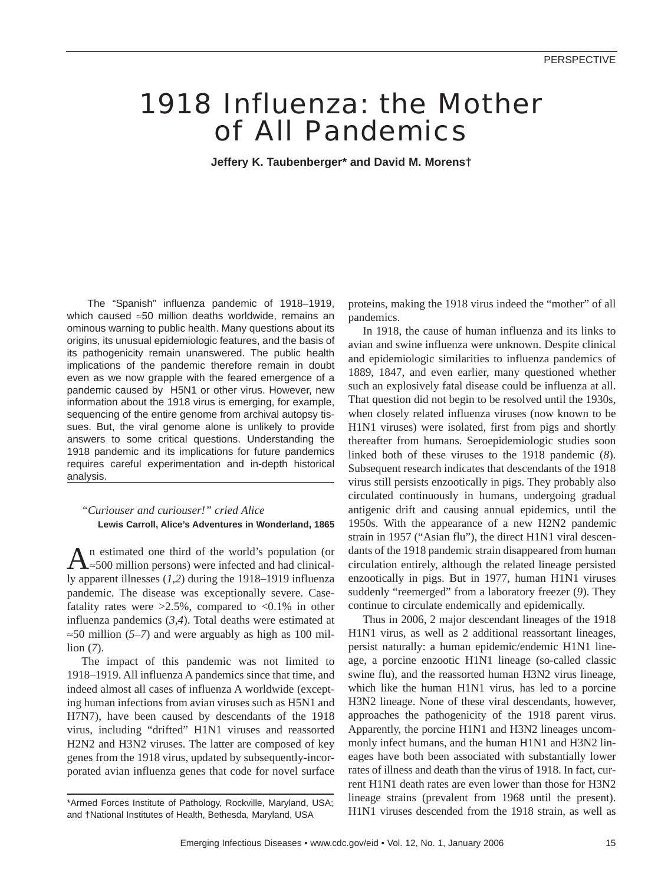# 1918 Influenza: the Mother of All Pandemics

**Jeffery K. Taubenberger\* and David M. Morens†**

The "Spanish" influenza pandemic of 1918–1919, which caused ≈50 million deaths worldwide, remains an ominous warning to public health. Many questions about its origins, its unusual epidemiologic features, and the basis of its pathogenicity remain unanswered. The public health implications of the pandemic therefore remain in doubt even as we now grapple with the feared emergence of a pandemic caused by H5N1 or other virus. However, new information about the 1918 virus is emerging, for example, sequencing of the entire genome from archival autopsy tissues. But, the viral genome alone is unlikely to provide answers to some critical questions. Understanding the 1918 pandemic and its implications for future pandemics requires careful experimentation and in-depth historical analysis.

# *"Curiouser and curiouser!" cried Alice* **Lewis Carroll, Alice's Adventures in Wonderland, 1865**

An estimated one third of the world's population (or ∧≈500 million persons) were infected and had clinically apparent illnesses (*1,2*) during the 1918–1919 influenza pandemic. The disease was exceptionally severe. Casefatality rates were  $>2.5\%$ , compared to  $<0.1\%$  in other influenza pandemics (*3,4*). Total deaths were estimated at ≈50 million (*5–7*) and were arguably as high as 100 million (*7*).

The impact of this pandemic was not limited to 1918–1919. All influenza A pandemics since that time, and indeed almost all cases of influenza A worldwide (excepting human infections from avian viruses such as H5N1 and H7N7), have been caused by descendants of the 1918 virus, including "drifted" H1N1 viruses and reassorted H2N2 and H3N2 viruses. The latter are composed of key genes from the 1918 virus, updated by subsequently-incorporated avian influenza genes that code for novel surface proteins, making the 1918 virus indeed the "mother" of all pandemics.

In 1918, the cause of human influenza and its links to avian and swine influenza were unknown. Despite clinical and epidemiologic similarities to influenza pandemics of 1889, 1847, and even earlier, many questioned whether such an explosively fatal disease could be influenza at all. That question did not begin to be resolved until the 1930s, when closely related influenza viruses (now known to be H1N1 viruses) were isolated, first from pigs and shortly thereafter from humans. Seroepidemiologic studies soon linked both of these viruses to the 1918 pandemic (*8*). Subsequent research indicates that descendants of the 1918 virus still persists enzootically in pigs. They probably also circulated continuously in humans, undergoing gradual antigenic drift and causing annual epidemics, until the 1950s. With the appearance of a new H2N2 pandemic strain in 1957 ("Asian flu"), the direct H1N1 viral descendants of the 1918 pandemic strain disappeared from human circulation entirely, although the related lineage persisted enzootically in pigs. But in 1977, human H1N1 viruses suddenly "reemerged" from a laboratory freezer (*9*). They continue to circulate endemically and epidemically.

Thus in 2006, 2 major descendant lineages of the 1918 H1N1 virus, as well as 2 additional reassortant lineages, persist naturally: a human epidemic/endemic H1N1 lineage, a porcine enzootic H1N1 lineage (so-called classic swine flu), and the reassorted human H3N2 virus lineage, which like the human H1N1 virus, has led to a porcine H3N2 lineage. None of these viral descendants, however, approaches the pathogenicity of the 1918 parent virus. Apparently, the porcine H1N1 and H3N2 lineages uncommonly infect humans, and the human H1N1 and H3N2 lineages have both been associated with substantially lower rates of illness and death than the virus of 1918. In fact, current H1N1 death rates are even lower than those for H3N2 lineage strains (prevalent from 1968 until the present). H1N1 viruses descended from the 1918 strain, as well as

<sup>\*</sup>Armed Forces Institute of Pathology, Rockville, Maryland, USA; and †National Institutes of Health, Bethesda, Maryland, USA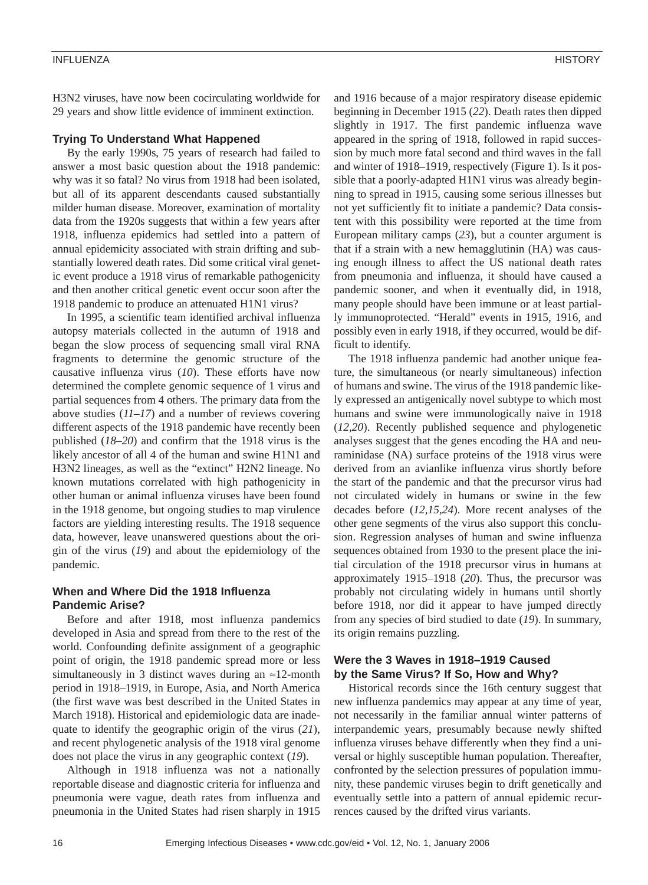H3N2 viruses, have now been cocirculating worldwide for 29 years and show little evidence of imminent extinction.

#### **Trying To Understand What Happened**

By the early 1990s, 75 years of research had failed to answer a most basic question about the 1918 pandemic: why was it so fatal? No virus from 1918 had been isolated, but all of its apparent descendants caused substantially milder human disease. Moreover, examination of mortality data from the 1920s suggests that within a few years after 1918, influenza epidemics had settled into a pattern of annual epidemicity associated with strain drifting and substantially lowered death rates. Did some critical viral genetic event produce a 1918 virus of remarkable pathogenicity and then another critical genetic event occur soon after the 1918 pandemic to produce an attenuated H1N1 virus?

In 1995, a scientific team identified archival influenza autopsy materials collected in the autumn of 1918 and began the slow process of sequencing small viral RNA fragments to determine the genomic structure of the causative influenza virus (*10*). These efforts have now determined the complete genomic sequence of 1 virus and partial sequences from 4 others. The primary data from the above studies (*11–17*) and a number of reviews covering different aspects of the 1918 pandemic have recently been published (*18–20*) and confirm that the 1918 virus is the likely ancestor of all 4 of the human and swine H1N1 and H3N2 lineages, as well as the "extinct" H2N2 lineage. No known mutations correlated with high pathogenicity in other human or animal influenza viruses have been found in the 1918 genome, but ongoing studies to map virulence factors are yielding interesting results. The 1918 sequence data, however, leave unanswered questions about the origin of the virus (*19*) and about the epidemiology of the pandemic.

### **When and Where Did the 1918 Influenza Pandemic Arise?**

Before and after 1918, most influenza pandemics developed in Asia and spread from there to the rest of the world. Confounding definite assignment of a geographic point of origin, the 1918 pandemic spread more or less simultaneously in 3 distinct waves during an  $\approx$ 12-month period in 1918–1919, in Europe, Asia, and North America (the first wave was best described in the United States in March 1918). Historical and epidemiologic data are inadequate to identify the geographic origin of the virus (*21*), and recent phylogenetic analysis of the 1918 viral genome does not place the virus in any geographic context (*19*).

Although in 1918 influenza was not a nationally reportable disease and diagnostic criteria for influenza and pneumonia were vague, death rates from influenza and pneumonia in the United States had risen sharply in 1915

and 1916 because of a major respiratory disease epidemic beginning in December 1915 (*22*). Death rates then dipped slightly in 1917. The first pandemic influenza wave appeared in the spring of 1918, followed in rapid succession by much more fatal second and third waves in the fall and winter of 1918–1919, respectively (Figure 1). Is it possible that a poorly-adapted H1N1 virus was already beginning to spread in 1915, causing some serious illnesses but not yet sufficiently fit to initiate a pandemic? Data consistent with this possibility were reported at the time from European military camps (*23*), but a counter argument is that if a strain with a new hemagglutinin (HA) was causing enough illness to affect the US national death rates from pneumonia and influenza, it should have caused a pandemic sooner, and when it eventually did, in 1918, many people should have been immune or at least partially immunoprotected. "Herald" events in 1915, 1916, and possibly even in early 1918, if they occurred, would be difficult to identify.

The 1918 influenza pandemic had another unique feature, the simultaneous (or nearly simultaneous) infection of humans and swine. The virus of the 1918 pandemic likely expressed an antigenically novel subtype to which most humans and swine were immunologically naive in 1918 (*12,20*). Recently published sequence and phylogenetic analyses suggest that the genes encoding the HA and neuraminidase (NA) surface proteins of the 1918 virus were derived from an avianlike influenza virus shortly before the start of the pandemic and that the precursor virus had not circulated widely in humans or swine in the few decades before (*12,15,24*). More recent analyses of the other gene segments of the virus also support this conclusion. Regression analyses of human and swine influenza sequences obtained from 1930 to the present place the initial circulation of the 1918 precursor virus in humans at approximately 1915–1918 (*20*). Thus, the precursor was probably not circulating widely in humans until shortly before 1918, nor did it appear to have jumped directly from any species of bird studied to date (*19*). In summary, its origin remains puzzling.

#### **Were the 3 Waves in 1918–1919 Caused by the Same Virus? If So, How and Why?**

Historical records since the 16th century suggest that new influenza pandemics may appear at any time of year, not necessarily in the familiar annual winter patterns of interpandemic years, presumably because newly shifted influenza viruses behave differently when they find a universal or highly susceptible human population. Thereafter, confronted by the selection pressures of population immunity, these pandemic viruses begin to drift genetically and eventually settle into a pattern of annual epidemic recurrences caused by the drifted virus variants.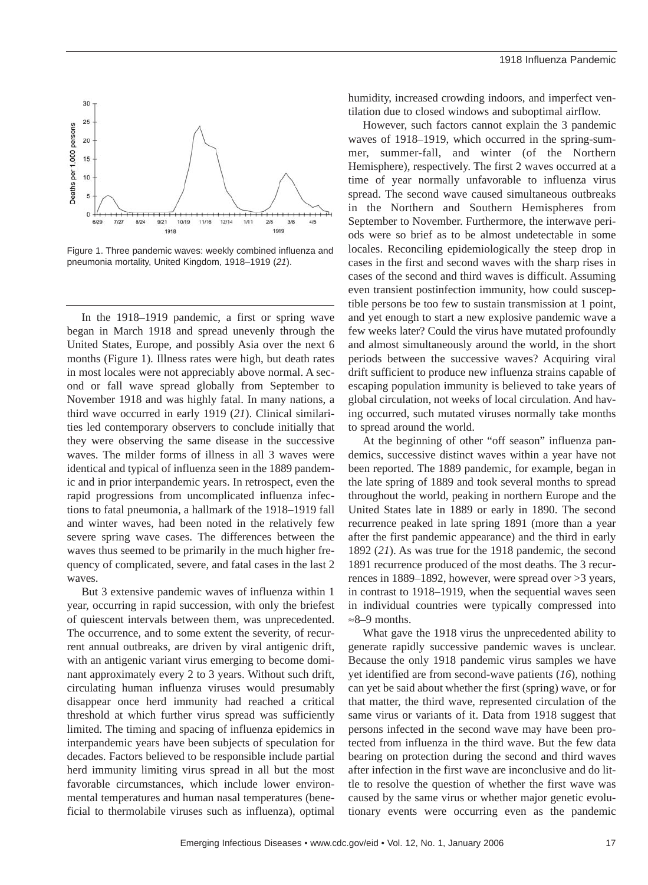

Figure 1. Three pandemic waves: weekly combined influenza and pneumonia mortality, United Kingdom, 1918–1919 (*21*).

In the 1918–1919 pandemic, a first or spring wave began in March 1918 and spread unevenly through the United States, Europe, and possibly Asia over the next 6 months (Figure 1). Illness rates were high, but death rates in most locales were not appreciably above normal. A second or fall wave spread globally from September to November 1918 and was highly fatal. In many nations, a third wave occurred in early 1919 (*21*). Clinical similarities led contemporary observers to conclude initially that they were observing the same disease in the successive waves. The milder forms of illness in all 3 waves were identical and typical of influenza seen in the 1889 pandemic and in prior interpandemic years. In retrospect, even the rapid progressions from uncomplicated influenza infections to fatal pneumonia, a hallmark of the 1918–1919 fall and winter waves, had been noted in the relatively few severe spring wave cases. The differences between the waves thus seemed to be primarily in the much higher frequency of complicated, severe, and fatal cases in the last 2 waves.

But 3 extensive pandemic waves of influenza within 1 year, occurring in rapid succession, with only the briefest of quiescent intervals between them, was unprecedented. The occurrence, and to some extent the severity, of recurrent annual outbreaks, are driven by viral antigenic drift, with an antigenic variant virus emerging to become dominant approximately every 2 to 3 years. Without such drift, circulating human influenza viruses would presumably disappear once herd immunity had reached a critical threshold at which further virus spread was sufficiently limited. The timing and spacing of influenza epidemics in interpandemic years have been subjects of speculation for decades. Factors believed to be responsible include partial herd immunity limiting virus spread in all but the most favorable circumstances, which include lower environmental temperatures and human nasal temperatures (beneficial to thermolabile viruses such as influenza), optimal

humidity, increased crowding indoors, and imperfect ventilation due to closed windows and suboptimal airflow.

However, such factors cannot explain the 3 pandemic waves of 1918–1919, which occurred in the spring-summer, summer-fall, and winter (of the Northern Hemisphere), respectively. The first 2 waves occurred at a time of year normally unfavorable to influenza virus spread. The second wave caused simultaneous outbreaks in the Northern and Southern Hemispheres from September to November. Furthermore, the interwave periods were so brief as to be almost undetectable in some locales. Reconciling epidemiologically the steep drop in cases in the first and second waves with the sharp rises in cases of the second and third waves is difficult. Assuming even transient postinfection immunity, how could susceptible persons be too few to sustain transmission at 1 point, and yet enough to start a new explosive pandemic wave a few weeks later? Could the virus have mutated profoundly and almost simultaneously around the world, in the short periods between the successive waves? Acquiring viral drift sufficient to produce new influenza strains capable of escaping population immunity is believed to take years of global circulation, not weeks of local circulation. And having occurred, such mutated viruses normally take months to spread around the world.

At the beginning of other "off season" influenza pandemics, successive distinct waves within a year have not been reported. The 1889 pandemic, for example, began in the late spring of 1889 and took several months to spread throughout the world, peaking in northern Europe and the United States late in 1889 or early in 1890. The second recurrence peaked in late spring 1891 (more than a year after the first pandemic appearance) and the third in early 1892 (*21*). As was true for the 1918 pandemic, the second 1891 recurrence produced of the most deaths. The 3 recurrences in 1889–1892, however, were spread over >3 years, in contrast to 1918–1919, when the sequential waves seen in individual countries were typically compressed into ≈8–9 months.

What gave the 1918 virus the unprecedented ability to generate rapidly successive pandemic waves is unclear. Because the only 1918 pandemic virus samples we have yet identified are from second-wave patients (*16*), nothing can yet be said about whether the first (spring) wave, or for that matter, the third wave, represented circulation of the same virus or variants of it. Data from 1918 suggest that persons infected in the second wave may have been protected from influenza in the third wave. But the few data bearing on protection during the second and third waves after infection in the first wave are inconclusive and do little to resolve the question of whether the first wave was caused by the same virus or whether major genetic evolutionary events were occurring even as the pandemic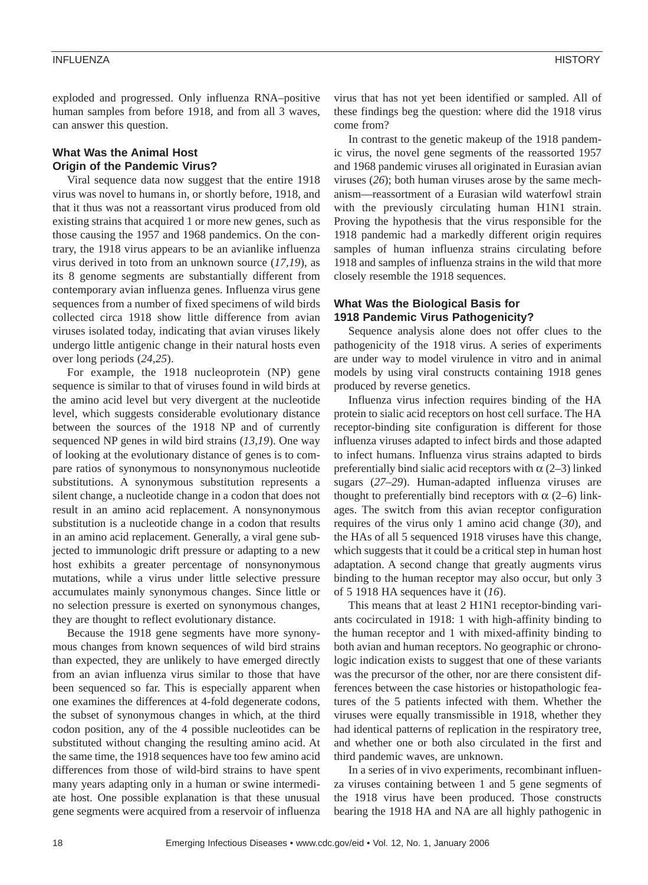exploded and progressed. Only influenza RNA–positive human samples from before 1918, and from all 3 waves, can answer this question.

# **What Was the Animal Host Origin of the Pandemic Virus?**

Viral sequence data now suggest that the entire 1918 virus was novel to humans in, or shortly before, 1918, and that it thus was not a reassortant virus produced from old existing strains that acquired 1 or more new genes, such as those causing the 1957 and 1968 pandemics. On the contrary, the 1918 virus appears to be an avianlike influenza virus derived in toto from an unknown source (*17,19*), as its 8 genome segments are substantially different from contemporary avian influenza genes. Influenza virus gene sequences from a number of fixed specimens of wild birds collected circa 1918 show little difference from avian viruses isolated today, indicating that avian viruses likely undergo little antigenic change in their natural hosts even over long periods (*24,25*).

For example, the 1918 nucleoprotein (NP) gene sequence is similar to that of viruses found in wild birds at the amino acid level but very divergent at the nucleotide level, which suggests considerable evolutionary distance between the sources of the 1918 NP and of currently sequenced NP genes in wild bird strains (*13,19*). One way of looking at the evolutionary distance of genes is to compare ratios of synonymous to nonsynonymous nucleotide substitutions. A synonymous substitution represents a silent change, a nucleotide change in a codon that does not result in an amino acid replacement. A nonsynonymous substitution is a nucleotide change in a codon that results in an amino acid replacement. Generally, a viral gene subjected to immunologic drift pressure or adapting to a new host exhibits a greater percentage of nonsynonymous mutations, while a virus under little selective pressure accumulates mainly synonymous changes. Since little or no selection pressure is exerted on synonymous changes, they are thought to reflect evolutionary distance.

Because the 1918 gene segments have more synonymous changes from known sequences of wild bird strains than expected, they are unlikely to have emerged directly from an avian influenza virus similar to those that have been sequenced so far. This is especially apparent when one examines the differences at 4-fold degenerate codons, the subset of synonymous changes in which, at the third codon position, any of the 4 possible nucleotides can be substituted without changing the resulting amino acid. At the same time, the 1918 sequences have too few amino acid differences from those of wild-bird strains to have spent many years adapting only in a human or swine intermediate host. One possible explanation is that these unusual gene segments were acquired from a reservoir of influenza virus that has not yet been identified or sampled. All of these findings beg the question: where did the 1918 virus come from?

In contrast to the genetic makeup of the 1918 pandemic virus, the novel gene segments of the reassorted 1957 and 1968 pandemic viruses all originated in Eurasian avian viruses (*26*); both human viruses arose by the same mechanism—reassortment of a Eurasian wild waterfowl strain with the previously circulating human H1N1 strain. Proving the hypothesis that the virus responsible for the 1918 pandemic had a markedly different origin requires samples of human influenza strains circulating before 1918 and samples of influenza strains in the wild that more closely resemble the 1918 sequences.

## **What Was the Biological Basis for 1918 Pandemic Virus Pathogenicity?**

Sequence analysis alone does not offer clues to the pathogenicity of the 1918 virus. A series of experiments are under way to model virulence in vitro and in animal models by using viral constructs containing 1918 genes produced by reverse genetics.

Influenza virus infection requires binding of the HA protein to sialic acid receptors on host cell surface. The HA receptor-binding site configuration is different for those influenza viruses adapted to infect birds and those adapted to infect humans. Influenza virus strains adapted to birds preferentially bind sialic acid receptors with  $\alpha$  (2–3) linked sugars (*27–29*). Human-adapted influenza viruses are thought to preferentially bind receptors with  $\alpha$  (2–6) linkages. The switch from this avian receptor configuration requires of the virus only 1 amino acid change (*30*), and the HAs of all 5 sequenced 1918 viruses have this change, which suggests that it could be a critical step in human host adaptation. A second change that greatly augments virus binding to the human receptor may also occur, but only 3 of 5 1918 HA sequences have it (*16*).

This means that at least 2 H1N1 receptor-binding variants cocirculated in 1918: 1 with high-affinity binding to the human receptor and 1 with mixed-affinity binding to both avian and human receptors. No geographic or chronologic indication exists to suggest that one of these variants was the precursor of the other, nor are there consistent differences between the case histories or histopathologic features of the 5 patients infected with them. Whether the viruses were equally transmissible in 1918, whether they had identical patterns of replication in the respiratory tree, and whether one or both also circulated in the first and third pandemic waves, are unknown.

In a series of in vivo experiments, recombinant influenza viruses containing between 1 and 5 gene segments of the 1918 virus have been produced. Those constructs bearing the 1918 HA and NA are all highly pathogenic in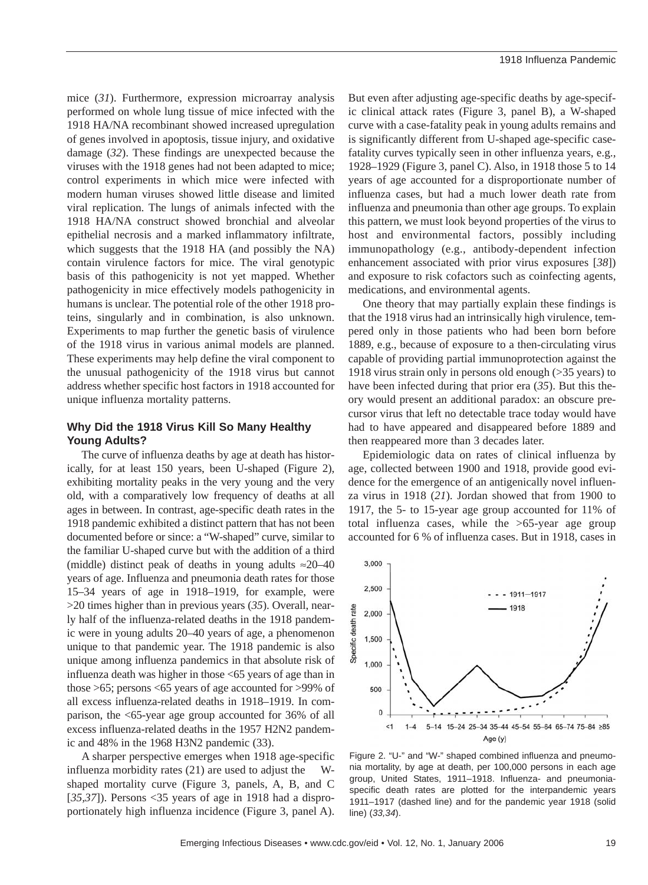mice (*31*). Furthermore, expression microarray analysis performed on whole lung tissue of mice infected with the 1918 HA/NA recombinant showed increased upregulation of genes involved in apoptosis, tissue injury, and oxidative damage (*32*). These findings are unexpected because the viruses with the 1918 genes had not been adapted to mice; control experiments in which mice were infected with modern human viruses showed little disease and limited viral replication. The lungs of animals infected with the 1918 HA/NA construct showed bronchial and alveolar epithelial necrosis and a marked inflammatory infiltrate, which suggests that the 1918 HA (and possibly the NA) contain virulence factors for mice. The viral genotypic basis of this pathogenicity is not yet mapped. Whether pathogenicity in mice effectively models pathogenicity in humans is unclear. The potential role of the other 1918 proteins, singularly and in combination, is also unknown. Experiments to map further the genetic basis of virulence of the 1918 virus in various animal models are planned. These experiments may help define the viral component to the unusual pathogenicity of the 1918 virus but cannot address whether specific host factors in 1918 accounted for unique influenza mortality patterns.

# **Why Did the 1918 Virus Kill So Many Healthy Young Adults?**

The curve of influenza deaths by age at death has historically, for at least 150 years, been U-shaped (Figure 2), exhibiting mortality peaks in the very young and the very old, with a comparatively low frequency of deaths at all ages in between. In contrast, age-specific death rates in the 1918 pandemic exhibited a distinct pattern that has not been documented before or since: a "W-shaped" curve, similar to the familiar U-shaped curve but with the addition of a third (middle) distinct peak of deaths in young adults  $\approx 20-40$ years of age. Influenza and pneumonia death rates for those 15–34 years of age in 1918–1919, for example, were >20 times higher than in previous years (*35*). Overall, nearly half of the influenza-related deaths in the 1918 pandemic were in young adults 20–40 years of age, a phenomenon unique to that pandemic year. The 1918 pandemic is also unique among influenza pandemics in that absolute risk of influenza death was higher in those <65 years of age than in those >65; persons <65 years of age accounted for >99% of all excess influenza-related deaths in 1918–1919. In comparison, the <65-year age group accounted for 36% of all excess influenza-related deaths in the 1957 H2N2 pandemic and 48% in the 1968 H3N2 pandemic (33).

A sharper perspective emerges when 1918 age-specific influenza morbidity rates (21) are used to adjust the Wshaped mortality curve (Figure 3, panels, A, B, and C [*35,37*]). Persons <35 years of age in 1918 had a disproportionately high influenza incidence (Figure 3, panel A). But even after adjusting age-specific deaths by age-specific clinical attack rates (Figure 3, panel B), a W-shaped curve with a case-fatality peak in young adults remains and is significantly different from U-shaped age-specific casefatality curves typically seen in other influenza years, e.g., 1928–1929 (Figure 3, panel C). Also, in 1918 those 5 to 14 years of age accounted for a disproportionate number of influenza cases, but had a much lower death rate from influenza and pneumonia than other age groups. To explain this pattern, we must look beyond properties of the virus to host and environmental factors, possibly including immunopathology (e.g., antibody-dependent infection enhancement associated with prior virus exposures [*38*]) and exposure to risk cofactors such as coinfecting agents, medications, and environmental agents.

One theory that may partially explain these findings is that the 1918 virus had an intrinsically high virulence, tempered only in those patients who had been born before 1889, e.g., because of exposure to a then-circulating virus capable of providing partial immunoprotection against the 1918 virus strain only in persons old enough (>35 years) to have been infected during that prior era (*35*). But this theory would present an additional paradox: an obscure precursor virus that left no detectable trace today would have had to have appeared and disappeared before 1889 and then reappeared more than 3 decades later.

Epidemiologic data on rates of clinical influenza by age, collected between 1900 and 1918, provide good evidence for the emergence of an antigenically novel influenza virus in 1918 (*21*). Jordan showed that from 1900 to 1917, the 5- to 15-year age group accounted for 11% of total influenza cases, while the >65-year age group accounted for 6 % of influenza cases. But in 1918, cases in



Figure 2. "U-" and "W-" shaped combined influenza and pneumonia mortality, by age at death, per 100,000 persons in each age group, United States, 1911–1918. Influenza- and pneumoniaspecific death rates are plotted for the interpandemic years 1911–1917 (dashed line) and for the pandemic year 1918 (solid line) (*33,34*).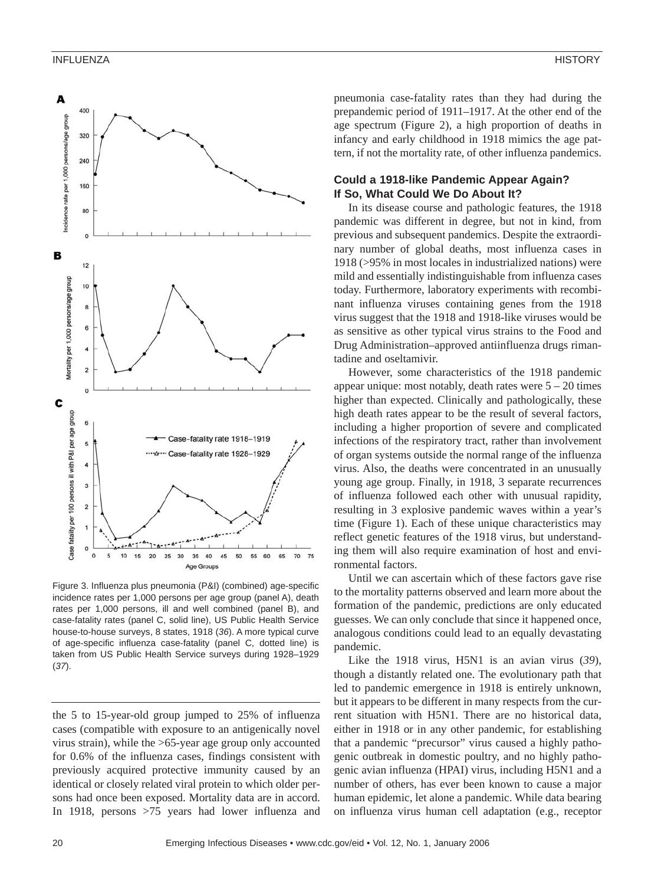

Figure 3. Influenza plus pneumonia (P&I) (combined) age-specific incidence rates per 1,000 persons per age group (panel A), death rates per 1,000 persons, ill and well combined (panel B), and case-fatality rates (panel C, solid line), US Public Health Service house-to-house surveys, 8 states, 1918 (*36*). A more typical curve of age-specific influenza case-fatality (panel C, dotted line) is taken from US Public Health Service surveys during 1928–1929 (*37*).

the 5 to 15-year-old group jumped to 25% of influenza cases (compatible with exposure to an antigenically novel virus strain), while the >65-year age group only accounted for 0.6% of the influenza cases, findings consistent with previously acquired protective immunity caused by an identical or closely related viral protein to which older persons had once been exposed. Mortality data are in accord. In 1918, persons >75 years had lower influenza and pneumonia case-fatality rates than they had during the prepandemic period of 1911–1917. At the other end of the age spectrum (Figure 2), a high proportion of deaths in infancy and early childhood in 1918 mimics the age pattern, if not the mortality rate, of other influenza pandemics.

#### **Could a 1918-like Pandemic Appear Again? If So, What Could We Do About It?**

In its disease course and pathologic features, the 1918 pandemic was different in degree, but not in kind, from previous and subsequent pandemics. Despite the extraordinary number of global deaths, most influenza cases in 1918 (>95% in most locales in industrialized nations) were mild and essentially indistinguishable from influenza cases today. Furthermore, laboratory experiments with recombinant influenza viruses containing genes from the 1918 virus suggest that the 1918 and 1918-like viruses would be as sensitive as other typical virus strains to the Food and Drug Administration–approved antiinfluenza drugs rimantadine and oseltamivir.

However, some characteristics of the 1918 pandemic appear unique: most notably, death rates were  $5 - 20$  times higher than expected. Clinically and pathologically, these high death rates appear to be the result of several factors, including a higher proportion of severe and complicated infections of the respiratory tract, rather than involvement of organ systems outside the normal range of the influenza virus. Also, the deaths were concentrated in an unusually young age group. Finally, in 1918, 3 separate recurrences of influenza followed each other with unusual rapidity, resulting in 3 explosive pandemic waves within a year's time (Figure 1). Each of these unique characteristics may reflect genetic features of the 1918 virus, but understanding them will also require examination of host and environmental factors.

Until we can ascertain which of these factors gave rise to the mortality patterns observed and learn more about the formation of the pandemic, predictions are only educated guesses. We can only conclude that since it happened once, analogous conditions could lead to an equally devastating pandemic.

Like the 1918 virus, H5N1 is an avian virus (*39*), though a distantly related one. The evolutionary path that led to pandemic emergence in 1918 is entirely unknown, but it appears to be different in many respects from the current situation with H5N1. There are no historical data, either in 1918 or in any other pandemic, for establishing that a pandemic "precursor" virus caused a highly pathogenic outbreak in domestic poultry, and no highly pathogenic avian influenza (HPAI) virus, including H5N1 and a number of others, has ever been known to cause a major human epidemic, let alone a pandemic. While data bearing on influenza virus human cell adaptation (e.g., receptor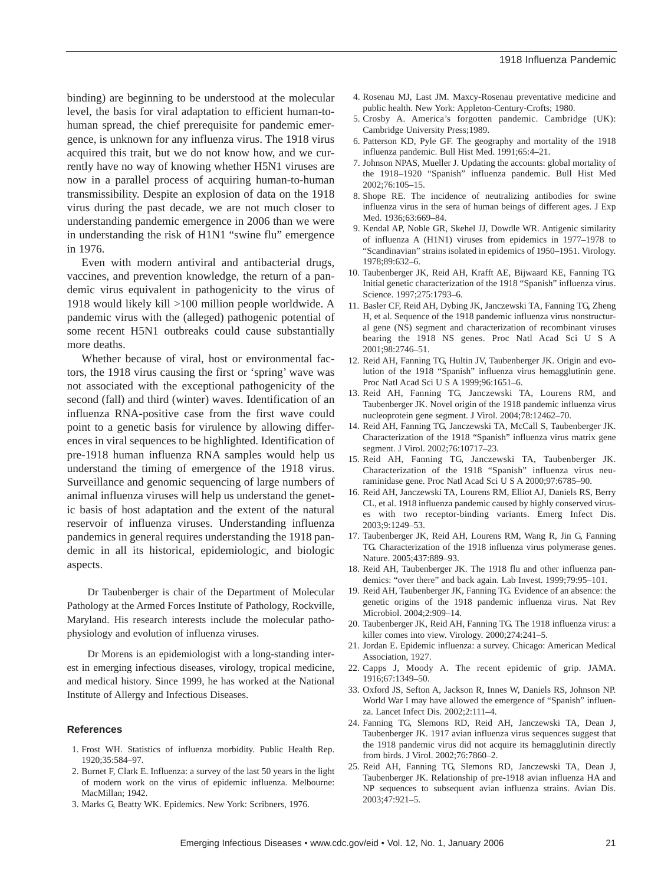binding) are beginning to be understood at the molecular level, the basis for viral adaptation to efficient human-tohuman spread, the chief prerequisite for pandemic emergence, is unknown for any influenza virus. The 1918 virus acquired this trait, but we do not know how, and we currently have no way of knowing whether H5N1 viruses are now in a parallel process of acquiring human-to-human transmissibility. Despite an explosion of data on the 1918 virus during the past decade, we are not much closer to understanding pandemic emergence in 2006 than we were in understanding the risk of H1N1 "swine flu" emergence in 1976.

Even with modern antiviral and antibacterial drugs, vaccines, and prevention knowledge, the return of a pandemic virus equivalent in pathogenicity to the virus of 1918 would likely kill >100 million people worldwide. A pandemic virus with the (alleged) pathogenic potential of some recent H5N1 outbreaks could cause substantially more deaths.

Whether because of viral, host or environmental factors, the 1918 virus causing the first or 'spring' wave was not associated with the exceptional pathogenicity of the second (fall) and third (winter) waves. Identification of an influenza RNA-positive case from the first wave could point to a genetic basis for virulence by allowing differences in viral sequences to be highlighted. Identification of pre-1918 human influenza RNA samples would help us understand the timing of emergence of the 1918 virus. Surveillance and genomic sequencing of large numbers of animal influenza viruses will help us understand the genetic basis of host adaptation and the extent of the natural reservoir of influenza viruses. Understanding influenza pandemics in general requires understanding the 1918 pandemic in all its historical, epidemiologic, and biologic aspects.

Dr Taubenberger is chair of the Department of Molecular Pathology at the Armed Forces Institute of Pathology, Rockville, Maryland. His research interests include the molecular pathophysiology and evolution of influenza viruses.

Dr Morens is an epidemiologist with a long-standing interest in emerging infectious diseases, virology, tropical medicine, and medical history. Since 1999, he has worked at the National Institute of Allergy and Infectious Diseases.

#### **References**

- 1. Frost WH. Statistics of influenza morbidity. Public Health Rep. 1920;35:584–97.
- 2. Burnet F, Clark E. Influenza: a survey of the last 50 years in the light of modern work on the virus of epidemic influenza. Melbourne: MacMillan; 1942.
- 3. Marks G, Beatty WK. Epidemics. New York: Scribners, 1976.
- 4. Rosenau MJ, Last JM. Maxcy-Rosenau preventative medicine and public health. New York: Appleton-Century-Crofts; 1980.
- 5. Crosby A. America's forgotten pandemic. Cambridge (UK): Cambridge University Press;1989.
- 6. Patterson KD, Pyle GF. The geography and mortality of the 1918 influenza pandemic. Bull Hist Med. 1991;65:4–21.
- 7. Johnson NPAS, Mueller J. Updating the accounts: global mortality of the 1918–1920 "Spanish" influenza pandemic. Bull Hist Med 2002;76:105–15.
- 8. Shope RE. The incidence of neutralizing antibodies for swine influenza virus in the sera of human beings of different ages. J Exp Med. 1936;63:669–84.
- 9. Kendal AP, Noble GR, Skehel JJ, Dowdle WR. Antigenic similarity of influenza A (H1N1) viruses from epidemics in 1977–1978 to "Scandinavian" strains isolated in epidemics of 1950–1951. Virology. 1978;89:632–6.
- 10. Taubenberger JK, Reid AH, Krafft AE, Bijwaard KE, Fanning TG. Initial genetic characterization of the 1918 "Spanish" influenza virus. Science. 1997;275:1793–6.
- 11. Basler CF, Reid AH, Dybing JK, Janczewski TA, Fanning TG, Zheng H, et al. Sequence of the 1918 pandemic influenza virus nonstructural gene (NS) segment and characterization of recombinant viruses bearing the 1918 NS genes. Proc Natl Acad Sci U S A 2001;98:2746–51.
- 12. Reid AH, Fanning TG, Hultin JV, Taubenberger JK. Origin and evolution of the 1918 "Spanish" influenza virus hemagglutinin gene. Proc Natl Acad Sci U S A 1999;96:1651–6.
- 13. Reid AH, Fanning TG, Janczewski TA, Lourens RM, and Taubenberger JK. Novel origin of the 1918 pandemic influenza virus nucleoprotein gene segment. J Virol. 2004;78:12462–70.
- 14. Reid AH, Fanning TG, Janczewski TA, McCall S, Taubenberger JK. Characterization of the 1918 "Spanish" influenza virus matrix gene segment. J Virol. 2002;76:10717–23.
- 15. Reid AH, Fanning TG, Janczewski TA, Taubenberger JK. Characterization of the 1918 "Spanish" influenza virus neuraminidase gene. Proc Natl Acad Sci U S A 2000;97:6785–90.
- 16. Reid AH, Janczewski TA, Lourens RM, Elliot AJ, Daniels RS, Berry CL, et al. 1918 influenza pandemic caused by highly conserved viruses with two receptor-binding variants. Emerg Infect Dis. 2003;9:1249–53.
- 17. Taubenberger JK, Reid AH, Lourens RM, Wang R, Jin G, Fanning TG. Characterization of the 1918 influenza virus polymerase genes. Nature. 2005;437:889–93.
- 18. Reid AH, Taubenberger JK. The 1918 flu and other influenza pandemics: "over there" and back again. Lab Invest. 1999;79:95–101.
- 19. Reid AH, Taubenberger JK, Fanning TG. Evidence of an absence: the genetic origins of the 1918 pandemic influenza virus. Nat Rev Microbiol. 2004;2:909–14.
- 20. Taubenberger JK, Reid AH, Fanning TG. The 1918 influenza virus: a killer comes into view. Virology. 2000;274:241–5.
- 21. Jordan E. Epidemic influenza: a survey. Chicago: American Medical Association, 1927.
- 22. Capps J, Moody A. The recent epidemic of grip. JAMA. 1916;67:1349–50.
- 33. Oxford JS, Sefton A, Jackson R, Innes W, Daniels RS, Johnson NP. World War I may have allowed the emergence of "Spanish" influenza. Lancet Infect Dis. 2002;2:111–4.
- 24. Fanning TG, Slemons RD, Reid AH, Janczewski TA, Dean J, Taubenberger JK. 1917 avian influenza virus sequences suggest that the 1918 pandemic virus did not acquire its hemagglutinin directly from birds. J Virol. 2002;76:7860–2.
- 25. Reid AH, Fanning TG, Slemons RD, Janczewski TA, Dean J, Taubenberger JK. Relationship of pre-1918 avian influenza HA and NP sequences to subsequent avian influenza strains. Avian Dis. 2003;47:921–5.